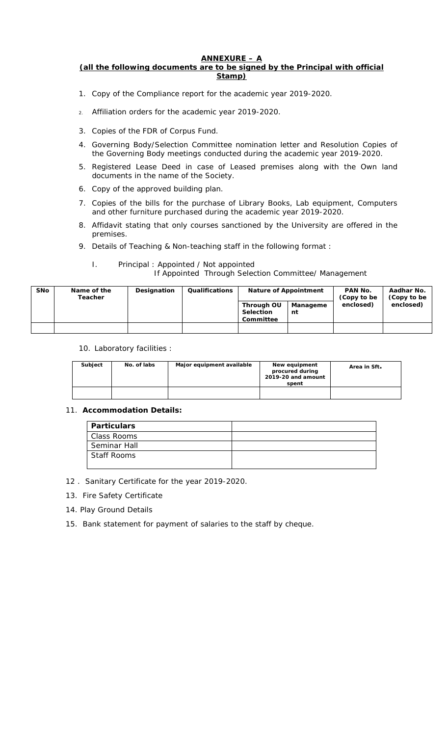## **ANNEXURE – A**

**(all the following documents are to be signed by the Principal with official Stamp)**

- 1. Copy of the Compliance report for the academic year 2019-2020.
- 2. Affiliation orders for the academic year 2019-2020.
- 3. Copies of the FDR of Corpus Fund.
- 4. Governing Body/Selection Committee nomination letter and Resolution Copies of the Governing Body meetings conducted during the academic year 2019-2020.
- 5. Registered Lease Deed in case of Leased premises along with the Own land documents in the name of the Society.
- 6. Copy of the approved building plan.
- 7. Copies of the bills for the purchase of Library Books, Lab equipment, Computers and other furniture purchased during the academic year 2019-2020.
- 8. Affidavit stating that only courses sanctioned by the University are offered in the premises.
- 9. Details of Teaching & Non-teaching staff in the following format :

## I. Principal : Appointed / Not appointed If Appointed Through Selection Committee/ Management

| <b>SNo</b> | Name of the<br>Teacher | Designation | Qualifications | Nature of Appointment                |                | PAN No.<br>(Copy to be | Aadhar No.<br>(Copy to be |
|------------|------------------------|-------------|----------------|--------------------------------------|----------------|------------------------|---------------------------|
|            |                        |             |                | Through OU<br>Selection<br>Committee | Manageme<br>nt | enclosed)              | enclosed)                 |
|            |                        |             |                |                                      |                |                        |                           |

10. Laboratory facilities :

| Subject | No. of labs | Major equipment available | New equipment<br>procured during<br>2019-20 and amount<br>spent | Area in Sft. |
|---------|-------------|---------------------------|-----------------------------------------------------------------|--------------|
|         |             |                           |                                                                 |              |

## 11. **Accommodation Details:**

| Particulars        |  |
|--------------------|--|
| Class Rooms        |  |
| Seminar Hall       |  |
| <b>Staff Rooms</b> |  |
|                    |  |

## 12 . Sanitary Certificate for the year 2019-2020.

- 13. Fire Safety Certificate
- 14. Play Ground Details
- 15. Bank statement for payment of salaries to the staff by cheque.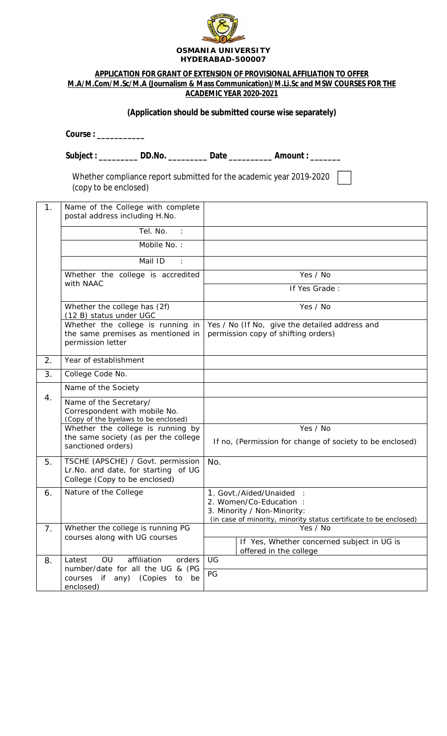

#### **OSMANIA UNIVERSITY HYDERABAD-500007**

|                |                                                                                                                                      | APPLICATION FOR GRANT OF EXTENSION OF PROVISIONAL AFFILIATION TO OFFER                                                                                |  |  |  |  |  |  |
|----------------|--------------------------------------------------------------------------------------------------------------------------------------|-------------------------------------------------------------------------------------------------------------------------------------------------------|--|--|--|--|--|--|
|                |                                                                                                                                      | M.A/M.Com/M.Sc/M.A (Journalism & Mass Communication)/M.Li.Sc and MSW COURSES FOR THE<br>ACADEMIC YEAR 2020-2021                                       |  |  |  |  |  |  |
|                |                                                                                                                                      |                                                                                                                                                       |  |  |  |  |  |  |
|                | (Application should be submitted course wise separately)                                                                             |                                                                                                                                                       |  |  |  |  |  |  |
|                | Course:                                                                                                                              |                                                                                                                                                       |  |  |  |  |  |  |
|                |                                                                                                                                      | Subject: ___________ DD.No. ___________ Date ____________ Amount: ________                                                                            |  |  |  |  |  |  |
|                | Whether compliance report submitted for the academic year 2019-2020<br>(copy to be enclosed)                                         |                                                                                                                                                       |  |  |  |  |  |  |
| 1 <sub>1</sub> | Name of the College with complete<br>postal address including H.No.                                                                  |                                                                                                                                                       |  |  |  |  |  |  |
|                | Tel. No. :                                                                                                                           |                                                                                                                                                       |  |  |  |  |  |  |
|                | Mobile No.:                                                                                                                          |                                                                                                                                                       |  |  |  |  |  |  |
|                | Mail ID<br>$\sim$ 100 $\pm$                                                                                                          |                                                                                                                                                       |  |  |  |  |  |  |
|                | Whether the college is accredited                                                                                                    | Yes / No                                                                                                                                              |  |  |  |  |  |  |
|                | with NAAC                                                                                                                            | If Yes Grade:                                                                                                                                         |  |  |  |  |  |  |
|                | Whether the college has (2f)<br>(12 B) status under UGC                                                                              | Yes / No                                                                                                                                              |  |  |  |  |  |  |
|                | Whether the college is running in<br>the same premises as mentioned in<br>permission letter                                          | Yes / No (If No, give the detailed address and<br>permission copy of shifting orders)                                                                 |  |  |  |  |  |  |
| 2.             | Year of establishment                                                                                                                |                                                                                                                                                       |  |  |  |  |  |  |
| 3.             | College Code No.                                                                                                                     |                                                                                                                                                       |  |  |  |  |  |  |
|                | Name of the Society                                                                                                                  |                                                                                                                                                       |  |  |  |  |  |  |
| 4.             | Name of the Secretary/<br>Correspondent with mobile No.<br>(Copy of the byelaws to be enclosed)<br>Whether the college is running by | Yes / No                                                                                                                                              |  |  |  |  |  |  |
|                | the same society (as per the college                                                                                                 | If no, (Permission for change of society to be enclosed)                                                                                              |  |  |  |  |  |  |
|                | sanctioned orders)                                                                                                                   |                                                                                                                                                       |  |  |  |  |  |  |
| 5.             | TSCHE (APSCHE) / Govt. permission<br>Lr.No. and date, for starting of UG<br>College (Copy to be enclosed)                            | No.                                                                                                                                                   |  |  |  |  |  |  |
| 6.             | Nature of the College                                                                                                                | 1. Govt./Aided/Unaided<br>2. Women/Co-Education :<br>3. Minority / Non-Minority:<br>(in case of minority, minority status certificate to be enclosed) |  |  |  |  |  |  |
| 7 <sub>1</sub> | Whether the college is running PG<br>courses along with UG courses                                                                   | Yes / No<br>If Yes, Whether concerned subject in UG is                                                                                                |  |  |  |  |  |  |
| 8.             | affiliation<br>orders<br>Latest<br>OU                                                                                                | offered in the college<br>UG                                                                                                                          |  |  |  |  |  |  |
|                | number/date for all the UG & (PG                                                                                                     | PG                                                                                                                                                    |  |  |  |  |  |  |
|                | courses if<br>any) (Copies<br>be<br>to<br>enclosed)                                                                                  |                                                                                                                                                       |  |  |  |  |  |  |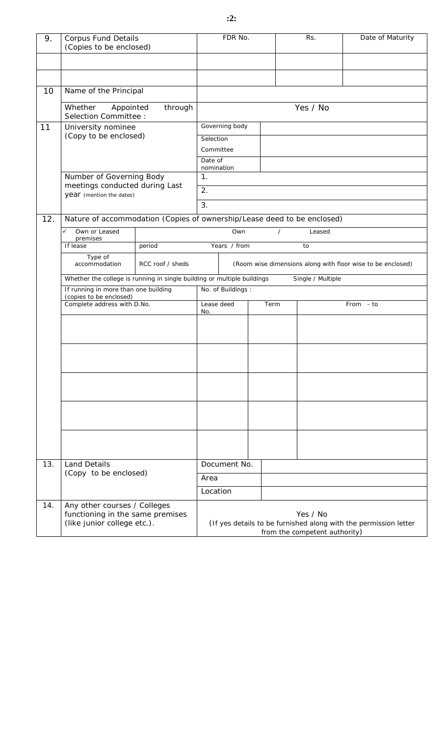| 9.  | <b>Corpus Fund Details</b><br>(Copies to be enclosed)                                           |                  | FDR No.                                                                                                       |                |      | Rs.      | Date of Maturity |
|-----|-------------------------------------------------------------------------------------------------|------------------|---------------------------------------------------------------------------------------------------------------|----------------|------|----------|------------------|
|     |                                                                                                 |                  |                                                                                                               |                |      |          |                  |
|     |                                                                                                 |                  |                                                                                                               |                |      |          |                  |
| 10  | Name of the Principal                                                                           |                  |                                                                                                               |                |      |          |                  |
|     | Whether<br>through<br>Appointed<br>Selection Committee :                                        |                  |                                                                                                               |                |      | Yes / No |                  |
| 11  | University nominee                                                                              |                  |                                                                                                               | Governing body |      |          |                  |
|     | (Copy to be enclosed)                                                                           |                  | Selection<br>Committee                                                                                        |                |      |          |                  |
|     |                                                                                                 |                  | Date of<br>nomination                                                                                         |                |      |          |                  |
|     | Number of Governing Body                                                                        |                  | 1.                                                                                                            |                |      |          |                  |
|     | meetings conducted during Last<br>year (mention the dates)                                      |                  | 2.                                                                                                            |                |      |          |                  |
|     |                                                                                                 |                  | 3.                                                                                                            |                |      |          |                  |
| 12. | Nature of accommodation (Copies of ownership/Lease deed to be enclosed)                         |                  |                                                                                                               |                |      |          |                  |
|     | Own or Leased<br>✓<br>premises                                                                  |                  |                                                                                                               | Own            |      | Leased   |                  |
|     | If lease<br>Type of                                                                             | period           | Years / from<br>to                                                                                            |                |      |          |                  |
|     | accommodation                                                                                   | RCC roof / sheds | (Room wise dimensions along with floor wise to be enclosed)                                                   |                |      |          |                  |
|     | Whether the college is running in single building or multiple buildings                         |                  | Single / Multiple<br>No. of Buildings:                                                                        |                |      |          |                  |
|     | If running in more than one building<br>(copies to be enclosed)                                 |                  |                                                                                                               |                |      |          |                  |
|     | Complete address with D.No.                                                                     |                  | Lease deed<br>No.                                                                                             |                | Term |          | From - to        |
|     |                                                                                                 |                  |                                                                                                               |                |      |          |                  |
|     |                                                                                                 |                  |                                                                                                               |                |      |          |                  |
|     |                                                                                                 |                  |                                                                                                               |                |      |          |                  |
|     |                                                                                                 |                  |                                                                                                               |                |      |          |                  |
|     |                                                                                                 |                  |                                                                                                               |                |      |          |                  |
| 13. | <b>Land Details</b><br>(Copy to be enclosed)                                                    |                  |                                                                                                               | Document No.   |      |          |                  |
|     |                                                                                                 |                  | Area                                                                                                          |                |      |          |                  |
|     |                                                                                                 |                  | Location                                                                                                      |                |      |          |                  |
| 14. | Any other courses / Colleges<br>functioning in the same premises<br>(like junior college etc.). |                  | Yes / No<br>(If yes details to be furnished along with the permission letter<br>from the competent authority) |                |      |          |                  |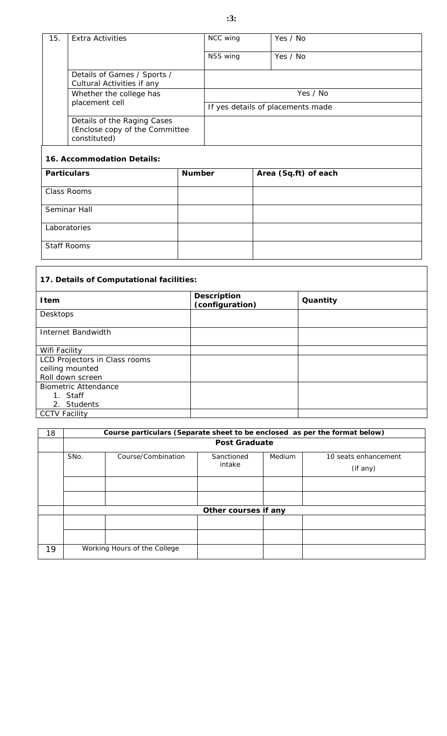# **:3:**

| 15.          | <b>Extra Activities</b>                                                       |        | NCC wing                          |  | Yes / No             |  |  |
|--------------|-------------------------------------------------------------------------------|--------|-----------------------------------|--|----------------------|--|--|
|              |                                                                               |        | NSS wing                          |  | Yes / No             |  |  |
|              | Details of Games / Sports /<br>Cultural Activities if any                     |        |                                   |  |                      |  |  |
|              | Whether the college has                                                       |        | Yes / No                          |  |                      |  |  |
|              | placement cell                                                                |        | If yes details of placements made |  |                      |  |  |
|              | Details of the Raging Cases<br>(Enclose copy of the Committee<br>constituted) |        |                                   |  |                      |  |  |
|              | 16. Accommodation Details:                                                    |        |                                   |  |                      |  |  |
|              | Particulars                                                                   | Number |                                   |  | Area (Sq.ft) of each |  |  |
| Class Rooms  |                                                                               |        |                                   |  |                      |  |  |
| Seminar Hall |                                                                               |        |                                   |  |                      |  |  |
| Laboratories |                                                                               |        |                                   |  |                      |  |  |
|              | <b>Staff Rooms</b>                                                            |        |                                   |  |                      |  |  |

| 17. Details of Computational facilities: |                                |          |  |  |  |  |
|------------------------------------------|--------------------------------|----------|--|--|--|--|
| I tem                                    | Description<br>(configuration) | Quantity |  |  |  |  |
| Desktops                                 |                                |          |  |  |  |  |
| Internet Bandwidth                       |                                |          |  |  |  |  |
| Wifi Facility                            |                                |          |  |  |  |  |
| LCD Projectors in Class rooms            |                                |          |  |  |  |  |
| ceiling mounted                          |                                |          |  |  |  |  |
| Roll down screen                         |                                |          |  |  |  |  |
| <b>Biometric Attendance</b>              |                                |          |  |  |  |  |
| 1. Staff                                 |                                |          |  |  |  |  |
| 2. Students                              |                                |          |  |  |  |  |
| <b>CCTV Facility</b>                     |                                |          |  |  |  |  |

٦

Г

| 18 | Course particulars (Separate sheet to be enclosed as per the format below) |                              |                      |        |                                  |  |  |  |
|----|----------------------------------------------------------------------------|------------------------------|----------------------|--------|----------------------------------|--|--|--|
|    | Post Graduate                                                              |                              |                      |        |                                  |  |  |  |
|    | SNo.                                                                       | Course/Combination           | Sanctioned<br>intake | Medium | 10 seats enhancement<br>(if any) |  |  |  |
|    |                                                                            |                              |                      |        |                                  |  |  |  |
|    |                                                                            |                              |                      |        |                                  |  |  |  |
|    | Other courses if any                                                       |                              |                      |        |                                  |  |  |  |
|    |                                                                            |                              |                      |        |                                  |  |  |  |
|    |                                                                            |                              |                      |        |                                  |  |  |  |
| 19 |                                                                            | Working Hours of the College |                      |        |                                  |  |  |  |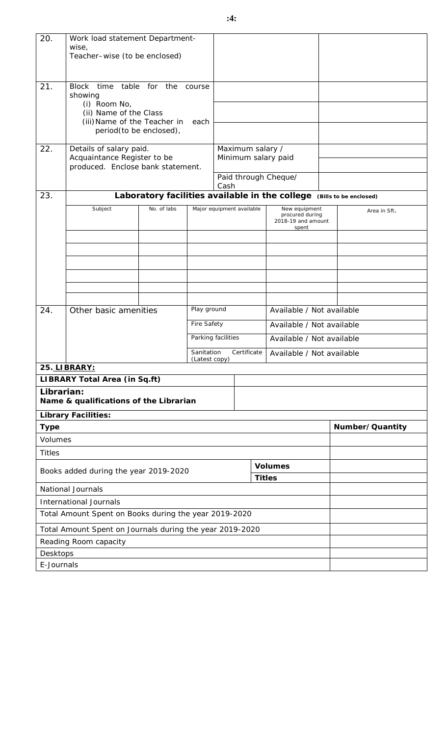| 20.                                              | Work load statement Department-<br>wise,                                          |                  |                             |                                                 |                                         |                                                                       |  |                 |  |
|--------------------------------------------------|-----------------------------------------------------------------------------------|------------------|-----------------------------|-------------------------------------------------|-----------------------------------------|-----------------------------------------------------------------------|--|-----------------|--|
|                                                  | Teacher-wise (to be enclosed)                                                     |                  |                             |                                                 |                                         |                                                                       |  |                 |  |
| 21.                                              | Block<br>time<br>showing                                                          | table for<br>the | course                      |                                                 |                                         |                                                                       |  |                 |  |
|                                                  | (i) Room No,<br>(ii) Name of the Class<br>(iii) Name of the Teacher in<br>each    |                  |                             |                                                 |                                         |                                                                       |  |                 |  |
|                                                  | period(to be enclosed),                                                           |                  |                             |                                                 |                                         |                                                                       |  |                 |  |
| 22.                                              | Details of salary paid.<br>Acquaintance Register to be                            |                  |                             |                                                 | Maximum salary /<br>Minimum salary paid |                                                                       |  |                 |  |
|                                                  | produced. Enclose bank statement.                                                 |                  |                             | Cash                                            |                                         | Paid through Cheque/                                                  |  |                 |  |
| 23.                                              |                                                                                   |                  |                             |                                                 |                                         | Laboratory facilities available in the college (Bills to be enclosed) |  |                 |  |
|                                                  | Subject                                                                           | No. of labs      |                             |                                                 | Major equipment available               | New equipment<br>procured during<br>2018-19 and amount<br>spent       |  | Area in Sft.    |  |
|                                                  |                                                                                   |                  |                             |                                                 |                                         |                                                                       |  |                 |  |
|                                                  |                                                                                   |                  |                             |                                                 |                                         |                                                                       |  |                 |  |
|                                                  |                                                                                   |                  |                             |                                                 |                                         |                                                                       |  |                 |  |
|                                                  |                                                                                   |                  |                             |                                                 |                                         |                                                                       |  |                 |  |
|                                                  |                                                                                   |                  |                             |                                                 |                                         |                                                                       |  |                 |  |
| 24.                                              | Other basic amenities                                                             |                  | Play ground                 | Available / Not available                       |                                         |                                                                       |  |                 |  |
|                                                  |                                                                                   |                  | Fire Safety                 | Available / Not available                       |                                         |                                                                       |  |                 |  |
|                                                  |                                                                                   |                  |                             | Parking facilities<br>Available / Not available |                                         |                                                                       |  |                 |  |
|                                                  |                                                                                   |                  | Sanitation<br>(Latest copy) | Certificate<br>Available / Not available        |                                         |                                                                       |  |                 |  |
|                                                  | 25. LIBRARY:                                                                      |                  |                             |                                                 |                                         |                                                                       |  |                 |  |
|                                                  | LIBRARY Total Area (in Sq.ft)                                                     |                  |                             |                                                 |                                         |                                                                       |  |                 |  |
| Librarian:                                       | Name & qualifications of the Librarian                                            |                  |                             |                                                 |                                         |                                                                       |  |                 |  |
|                                                  | Library Facilities:                                                               |                  |                             |                                                 |                                         |                                                                       |  |                 |  |
| Type                                             |                                                                                   |                  |                             |                                                 |                                         |                                                                       |  | Number/Quantity |  |
| Volumes                                          |                                                                                   |                  |                             |                                                 |                                         |                                                                       |  |                 |  |
| <b>Titles</b>                                    |                                                                                   |                  |                             |                                                 |                                         |                                                                       |  |                 |  |
| Volumes<br>Books added during the year 2019-2020 |                                                                                   |                  |                             |                                                 |                                         |                                                                       |  |                 |  |
| <b>Titles</b><br><b>National Journals</b>        |                                                                                   |                  |                             |                                                 |                                         |                                                                       |  |                 |  |
| <b>International Journals</b>                    |                                                                                   |                  |                             |                                                 |                                         |                                                                       |  |                 |  |
|                                                  | Total Amount Spent on Books during the year 2019-2020                             |                  |                             |                                                 |                                         |                                                                       |  |                 |  |
|                                                  |                                                                                   |                  |                             |                                                 |                                         |                                                                       |  |                 |  |
|                                                  | Total Amount Spent on Journals during the year 2019-2020<br>Reading Room capacity |                  |                             |                                                 |                                         |                                                                       |  |                 |  |
| Desktops                                         |                                                                                   |                  |                             |                                                 |                                         |                                                                       |  |                 |  |
| E-Journals                                       |                                                                                   |                  |                             |                                                 |                                         |                                                                       |  |                 |  |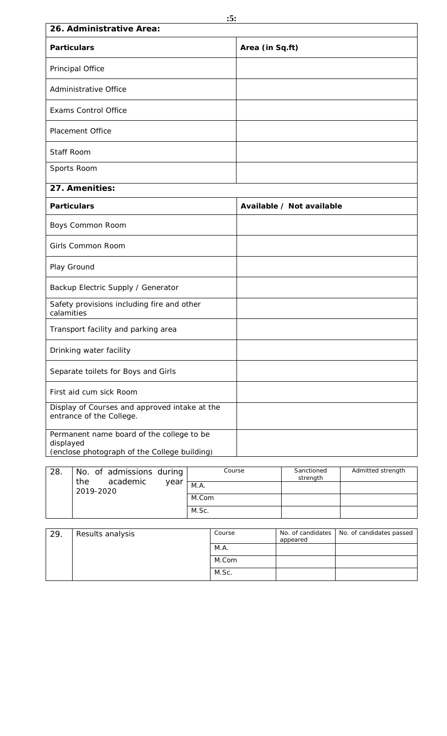| 26. Administrative Area:                                                                               |                           |  |  |  |  |
|--------------------------------------------------------------------------------------------------------|---------------------------|--|--|--|--|
| Particulars                                                                                            | Area (in Sq.ft)           |  |  |  |  |
| Principal Office                                                                                       |                           |  |  |  |  |
| Administrative Office                                                                                  |                           |  |  |  |  |
| <b>Exams Control Office</b>                                                                            |                           |  |  |  |  |
| Placement Office                                                                                       |                           |  |  |  |  |
| Staff Room                                                                                             |                           |  |  |  |  |
| Sports Room                                                                                            |                           |  |  |  |  |
| 27. Amenities:                                                                                         |                           |  |  |  |  |
| Particulars                                                                                            | Available / Not available |  |  |  |  |
| Boys Common Room                                                                                       |                           |  |  |  |  |
| Girls Common Room                                                                                      |                           |  |  |  |  |
| Play Ground                                                                                            |                           |  |  |  |  |
| Backup Electric Supply / Generator                                                                     |                           |  |  |  |  |
| Safety provisions including fire and other<br>calamities                                               |                           |  |  |  |  |
| Transport facility and parking area                                                                    |                           |  |  |  |  |
| Drinking water facility                                                                                |                           |  |  |  |  |
| Separate toilets for Boys and Girls                                                                    |                           |  |  |  |  |
| First aid cum sick Room                                                                                |                           |  |  |  |  |
| Display of Courses and approved intake at the<br>entrance of the College.                              |                           |  |  |  |  |
| Permanent name board of the college to be<br>displayed<br>(enclose photograph of the College building) |                           |  |  |  |  |

| 28. | No. of admissions during<br>academic<br>the |      | Course | Sanctioned<br>strength | Admitted strength |
|-----|---------------------------------------------|------|--------|------------------------|-------------------|
|     | 2019-2020                                   | year | M.A.   |                        |                   |
|     |                                             |      | M.Com  |                        |                   |
|     |                                             |      | M.Sc.  |                        |                   |

| 29.<br>Results analysis |       | Course | appeared | No. of candidates   No. of candidates passed |
|-------------------------|-------|--------|----------|----------------------------------------------|
|                         |       | M.A.   |          |                                              |
|                         | M.Com |        |          |                                              |
|                         |       | M.Sc.  |          |                                              |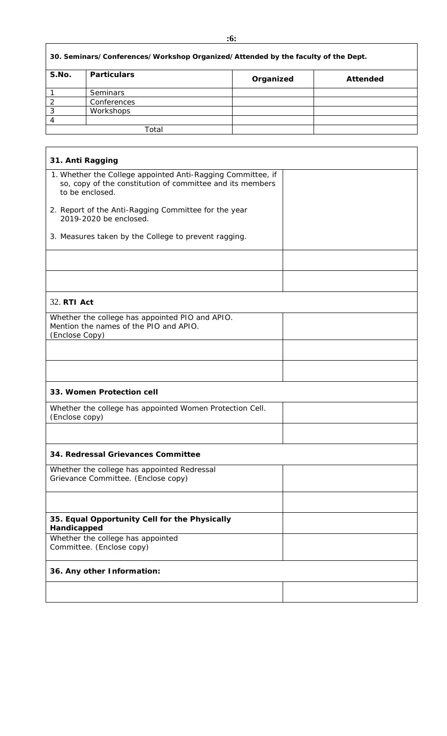|        | ۰,<br>٠      |     |
|--------|--------------|-----|
| - 11   | ٦            | om, |
|        |              |     |
| $\sim$ | I<br>۰.<br>× | -   |

|                                                                                                                                                                                                                                                                                                           |                                                                                  | :6:       |          |
|-----------------------------------------------------------------------------------------------------------------------------------------------------------------------------------------------------------------------------------------------------------------------------------------------------------|----------------------------------------------------------------------------------|-----------|----------|
|                                                                                                                                                                                                                                                                                                           | 30. Seminars/Conferences/Workshop Organized/Attended by the faculty of the Dept. |           |          |
| S.No.                                                                                                                                                                                                                                                                                                     | Particulars                                                                      | Organized | Attended |
| 1                                                                                                                                                                                                                                                                                                         | Seminars                                                                         |           |          |
| $\overline{2}$                                                                                                                                                                                                                                                                                            | Conferences                                                                      |           |          |
| 3                                                                                                                                                                                                                                                                                                         | Workshops                                                                        |           |          |
| $\overline{4}$                                                                                                                                                                                                                                                                                            |                                                                                  |           |          |
|                                                                                                                                                                                                                                                                                                           | Total                                                                            |           |          |
|                                                                                                                                                                                                                                                                                                           |                                                                                  |           |          |
| 31. Anti Ragging<br>1. Whether the College appointed Anti-Ragging Committee, if<br>so, copy of the constitution of committee and its members<br>to be enclosed.<br>2. Report of the Anti-Ragging Committee for the year<br>2019-2020 be enclosed.<br>3. Measures taken by the College to prevent ragging. |                                                                                  |           |          |
|                                                                                                                                                                                                                                                                                                           |                                                                                  |           |          |
|                                                                                                                                                                                                                                                                                                           |                                                                                  |           |          |
|                                                                                                                                                                                                                                                                                                           |                                                                                  |           |          |

| 32. RTI Act                                                                                                 |
|-------------------------------------------------------------------------------------------------------------|
| Whether the college has appointed PIO and APIO.<br>Mention the names of the PIO and APIO.<br>(Enclose Copy) |
|                                                                                                             |
|                                                                                                             |
| 33. Women Protection cell                                                                                   |
| Whether the college has appointed Women Protection Cell.<br>(Enclose copy)                                  |
|                                                                                                             |
| 34. Redressal Grievances Committee                                                                          |
| Whether the college has appointed Redressal<br>Grievance Committee. (Enclose copy)                          |
|                                                                                                             |
| 35. Equal Opportunity Cell for the Physically<br>Handicapped                                                |
| Whether the college has appointed<br>Committee. (Enclose copy)                                              |
| 36. Any other Information:                                                                                  |
|                                                                                                             |